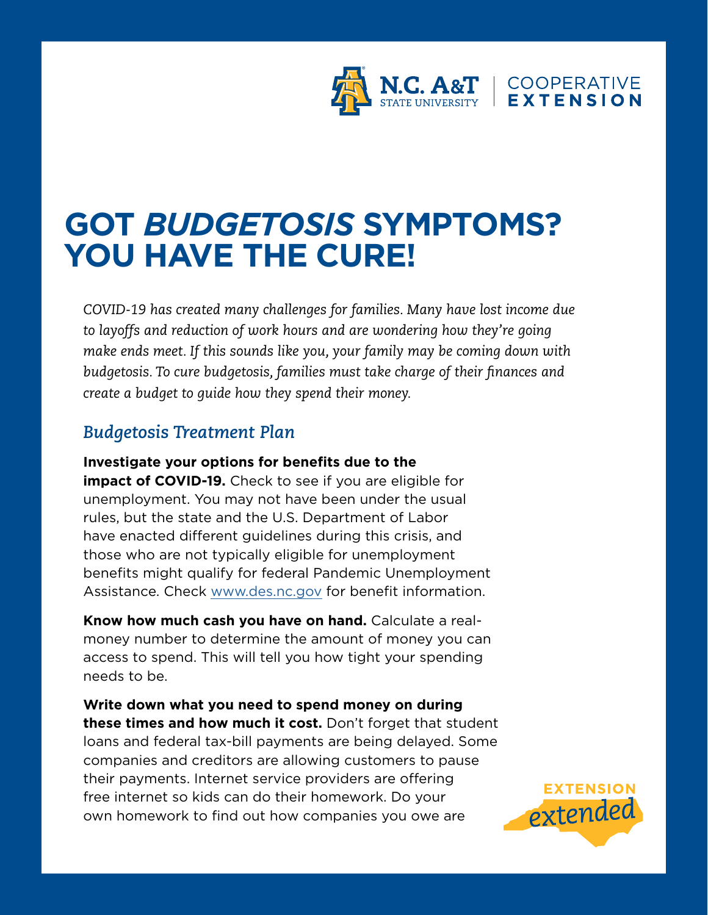

## **GOT** *BUDGETOSIS* **SYMPTOMS? YOU HAVE THE CURE!**

*COVID-19 has created many challenges for families. Many have lost income due to layoffs and reduction of work hours and are wondering how they're going make ends meet. If this sounds like you, your family may be coming down with budgetosis. To cure budgetosis, families must take charge of their finances and create a budget to guide how they spend their money.* 

## *Budgetosis Treatment Plan*

## **Investigate your options for benefits due to the**

**impact of COVID-19.** Check to see if you are eligible for unemployment. You may not have been under the usual rules, but the state and the U.S. Department of Labor have enacted different guidelines during this crisis, and those who are not typically eligible for unemployment benefits might qualify for federal Pandemic Unemployment Assistance. Check www.des.nc.gov for benefit information.

**Know how much cash you have on hand.** Calculate a realmoney number to determine the amount of money you can access to spend. This will tell you how tight your spending needs to be.

**Write down what you need to spend money on during these times and how much it cost.** Don't forget that student loans and federal tax-bill payments are being delayed. Some companies and creditors are allowing customers to pause their payments. Internet service providers are offering free internet so kids can do their homework. Do your own homework to find out how companies you owe are